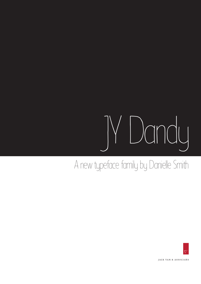## JY Dandy

## A new typeface family by Danielle Smith



JACK YAN & ASSOCIAES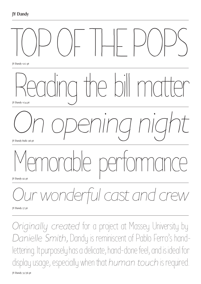

*Originally created* for a project at Massey University by *Danielle Smith,* Dandy is reminiscent of Pablo Ferro's handlettering. It purposely has a delicate, hand-done feel, and is ideal for display usage, especially when that *human touch* is required.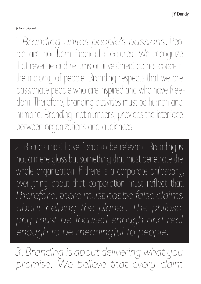## JY Dandy 36 pt solid

1. *Branding unites people's passions.* People are not born financial creatures. We recognize that revenue and returns on investment do not concern the majority of people. Branding respects that we are passionate people who are inspired and who have freedom. Therefore, branding activities must be human and humane. Branding, not numbers, provides the interface between organizations and audiences.

2. Brands must have focus to be relevant. Branding is not a mere gloss but something that must penetrate the whole organization. If there is a corporate philosophy, everything about that corporation must reflect that. *Therefore, there must not be false claims about helping the planet. The philosophy must be focused enough and real enough to be meaningful to people.*

*3. Branding is about delivering what you promise. We believe that every claim*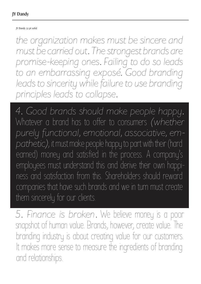JY Dandy 32 pt solid

*the organization makes must be sincere and must be carried out. The strongest brands are promise-keeping ones. Failing to do so leads to an embarrassing exposé. Good branding*  leads to sincerity while failure to use branding *principles leads to collapse.*

*4. Good brands should make people happy.*  Whatever a brand has to offer to consumers *(whether purely functional, emotional, associative, empathetic)*, it must make people happy to part with their (hard earned) money and satisfied in the process. A company's employees must understand this and derive their own happiness and satisfaction from this. Shareholders should reward companies that have such brands and we in turn must create them sincerely for our clients.

*5. Finance is broken.* We believe money is a poor snapshot of human value. Brands, however, create value. The branding industry is about creating value for our customers. It makes more sense to measure the ingredients of branding and relationships.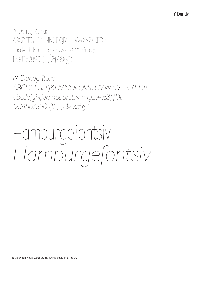JY Dandy Roman ABCDEFGHIJKLMNOPQRSTUVWXYZÆŒÐÞ abcdefghijklmnopqrstuvwxyzæœßfiflðþ 1234567890 ('!:;.,?\$£&€§')

*JY Dandy Italic ABCDEFGHIJKLMNOPQRSTUVWXYZÆŒÐÞŊ abcdefghijklmnopgrstuvwxyzæœßfiflðþ 1234567890 ('!:;.,?\$£&€§')*

## Hamburgefontsiv *Hamburgefontsiv*

JY Dandy samples at 24/28 pt. 'Hamburgefontsiv' in 68/64 pt.